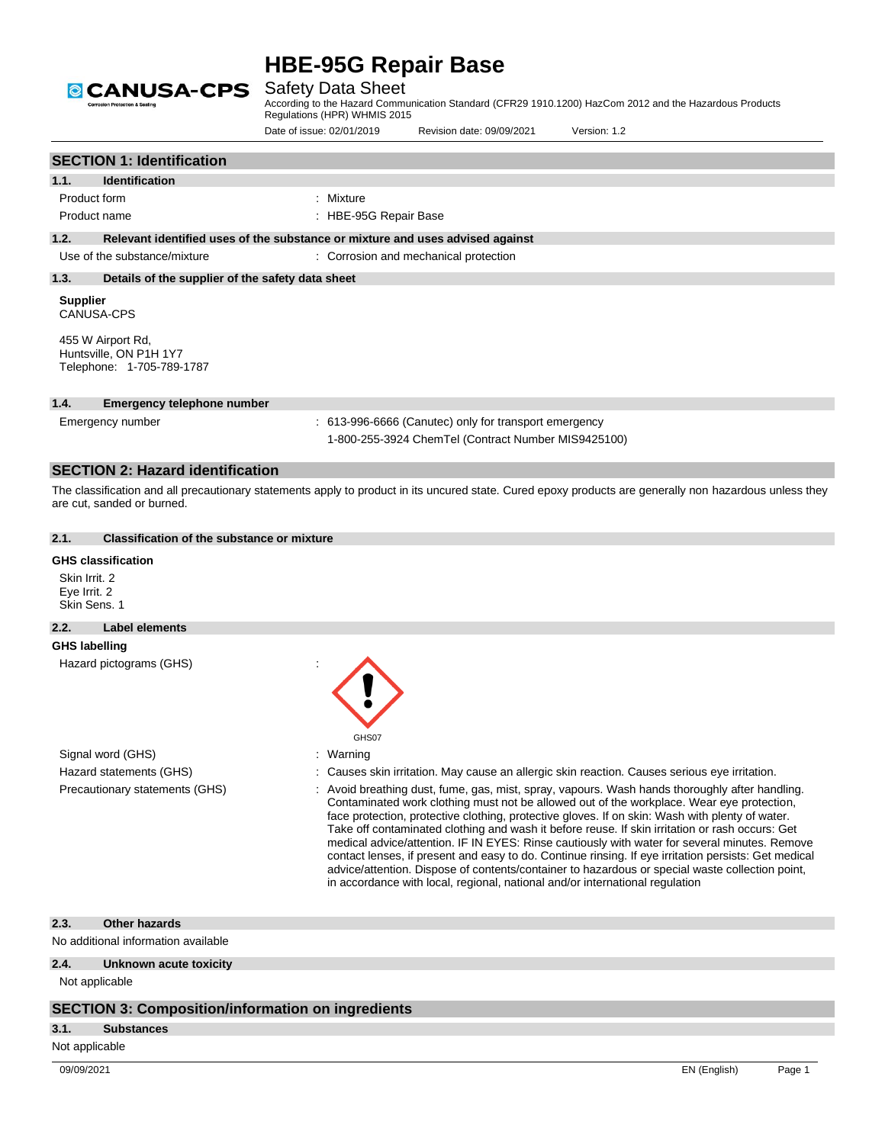

Safety Data Sheet

According to the Hazard Communication Standard (CFR29 1910.1200) HazCom 2012 and the Hazardous Products Regulations (HPR) WHMIS 2015

Date of issue: 02/01/2019 Revision date: 09/09/2021 Version: 1.2

|                                               |                                                                          |                                                                               |                                                                                                              | v EI SIULI. I . 4                                                                                                                                                                                                                                                                                                                                                                                                                                                                                                                                                                                                                                                                                                                                                                           |
|-----------------------------------------------|--------------------------------------------------------------------------|-------------------------------------------------------------------------------|--------------------------------------------------------------------------------------------------------------|---------------------------------------------------------------------------------------------------------------------------------------------------------------------------------------------------------------------------------------------------------------------------------------------------------------------------------------------------------------------------------------------------------------------------------------------------------------------------------------------------------------------------------------------------------------------------------------------------------------------------------------------------------------------------------------------------------------------------------------------------------------------------------------------|
|                                               | <b>SECTION 1: Identification</b>                                         |                                                                               |                                                                                                              |                                                                                                                                                                                                                                                                                                                                                                                                                                                                                                                                                                                                                                                                                                                                                                                             |
| 1.1.                                          | <b>Identification</b>                                                    |                                                                               |                                                                                                              |                                                                                                                                                                                                                                                                                                                                                                                                                                                                                                                                                                                                                                                                                                                                                                                             |
|                                               | Product form                                                             | Mixture                                                                       |                                                                                                              |                                                                                                                                                                                                                                                                                                                                                                                                                                                                                                                                                                                                                                                                                                                                                                                             |
|                                               | Product name                                                             | : HBE-95G Repair Base                                                         |                                                                                                              |                                                                                                                                                                                                                                                                                                                                                                                                                                                                                                                                                                                                                                                                                                                                                                                             |
| 1.2.                                          |                                                                          | Relevant identified uses of the substance or mixture and uses advised against |                                                                                                              |                                                                                                                                                                                                                                                                                                                                                                                                                                                                                                                                                                                                                                                                                                                                                                                             |
|                                               | Use of the substance/mixture                                             |                                                                               | : Corrosion and mechanical protection                                                                        |                                                                                                                                                                                                                                                                                                                                                                                                                                                                                                                                                                                                                                                                                                                                                                                             |
| 1.3.                                          | Details of the supplier of the safety data sheet                         |                                                                               |                                                                                                              |                                                                                                                                                                                                                                                                                                                                                                                                                                                                                                                                                                                                                                                                                                                                                                                             |
| <b>Supplier</b>                               | <b>CANUSA-CPS</b>                                                        |                                                                               |                                                                                                              |                                                                                                                                                                                                                                                                                                                                                                                                                                                                                                                                                                                                                                                                                                                                                                                             |
|                                               | 455 W Airport Rd,<br>Huntsville, ON P1H 1Y7<br>Telephone: 1-705-789-1787 |                                                                               |                                                                                                              |                                                                                                                                                                                                                                                                                                                                                                                                                                                                                                                                                                                                                                                                                                                                                                                             |
| 1.4.                                          | <b>Emergency telephone number</b>                                        |                                                                               |                                                                                                              |                                                                                                                                                                                                                                                                                                                                                                                                                                                                                                                                                                                                                                                                                                                                                                                             |
|                                               | Emergency number                                                         |                                                                               | : 613-996-6666 (Canutec) only for transport emergency<br>1-800-255-3924 ChemTel (Contract Number MIS9425100) |                                                                                                                                                                                                                                                                                                                                                                                                                                                                                                                                                                                                                                                                                                                                                                                             |
|                                               | <b>SECTION 2: Hazard identification</b>                                  |                                                                               |                                                                                                              |                                                                                                                                                                                                                                                                                                                                                                                                                                                                                                                                                                                                                                                                                                                                                                                             |
|                                               | are cut, sanded or burned.                                               |                                                                               |                                                                                                              | The classification and all precautionary statements apply to product in its uncured state. Cured epoxy products are generally non hazardous unless they                                                                                                                                                                                                                                                                                                                                                                                                                                                                                                                                                                                                                                     |
| 2.1.                                          | <b>Classification of the substance or mixture</b>                        |                                                                               |                                                                                                              |                                                                                                                                                                                                                                                                                                                                                                                                                                                                                                                                                                                                                                                                                                                                                                                             |
| Skin Irrit. 2<br>Eye Irrit. 2<br>Skin Sens. 1 | <b>GHS classification</b>                                                |                                                                               |                                                                                                              |                                                                                                                                                                                                                                                                                                                                                                                                                                                                                                                                                                                                                                                                                                                                                                                             |
| 2.2.                                          | <b>Label elements</b>                                                    |                                                                               |                                                                                                              |                                                                                                                                                                                                                                                                                                                                                                                                                                                                                                                                                                                                                                                                                                                                                                                             |
| <b>GHS labelling</b>                          |                                                                          |                                                                               |                                                                                                              |                                                                                                                                                                                                                                                                                                                                                                                                                                                                                                                                                                                                                                                                                                                                                                                             |
|                                               | Hazard pictograms (GHS)                                                  | GHS07                                                                         |                                                                                                              |                                                                                                                                                                                                                                                                                                                                                                                                                                                                                                                                                                                                                                                                                                                                                                                             |
|                                               | Signal word (GHS)                                                        | Warning                                                                       |                                                                                                              |                                                                                                                                                                                                                                                                                                                                                                                                                                                                                                                                                                                                                                                                                                                                                                                             |
|                                               | Hazard statements (GHS)                                                  |                                                                               |                                                                                                              | : Causes skin irritation. May cause an allergic skin reaction. Causes serious eye irritation.                                                                                                                                                                                                                                                                                                                                                                                                                                                                                                                                                                                                                                                                                               |
|                                               | Precautionary statements (GHS)                                           |                                                                               |                                                                                                              | Avoid breathing dust, fume, gas, mist, spray, vapours. Wash hands thoroughly after handling.<br>Contaminated work clothing must not be allowed out of the workplace. Wear eye protection,<br>face protection, protective clothing, protective gloves. If on skin: Wash with plenty of water.<br>Take off contaminated clothing and wash it before reuse. If skin irritation or rash occurs: Get<br>medical advice/attention. IF IN EYES: Rinse cautiously with water for several minutes. Remove<br>contact lenses, if present and easy to do. Continue rinsing. If eye irritation persists: Get medical<br>advice/attention. Dispose of contents/container to hazardous or special waste collection point,<br>in accordance with local, regional, national and/or international regulation |
| 2.3.                                          | <b>Other hazards</b>                                                     |                                                                               |                                                                                                              |                                                                                                                                                                                                                                                                                                                                                                                                                                                                                                                                                                                                                                                                                                                                                                                             |
|                                               | No additional information available                                      |                                                                               |                                                                                                              |                                                                                                                                                                                                                                                                                                                                                                                                                                                                                                                                                                                                                                                                                                                                                                                             |
| 2.4.                                          | Unknown acute toxicity                                                   |                                                                               |                                                                                                              |                                                                                                                                                                                                                                                                                                                                                                                                                                                                                                                                                                                                                                                                                                                                                                                             |
|                                               | Not applicable                                                           |                                                                               |                                                                                                              |                                                                                                                                                                                                                                                                                                                                                                                                                                                                                                                                                                                                                                                                                                                                                                                             |

#### **SECTION 3: Composition/information on ingredients**

#### **3.1. Substances**

Not applicable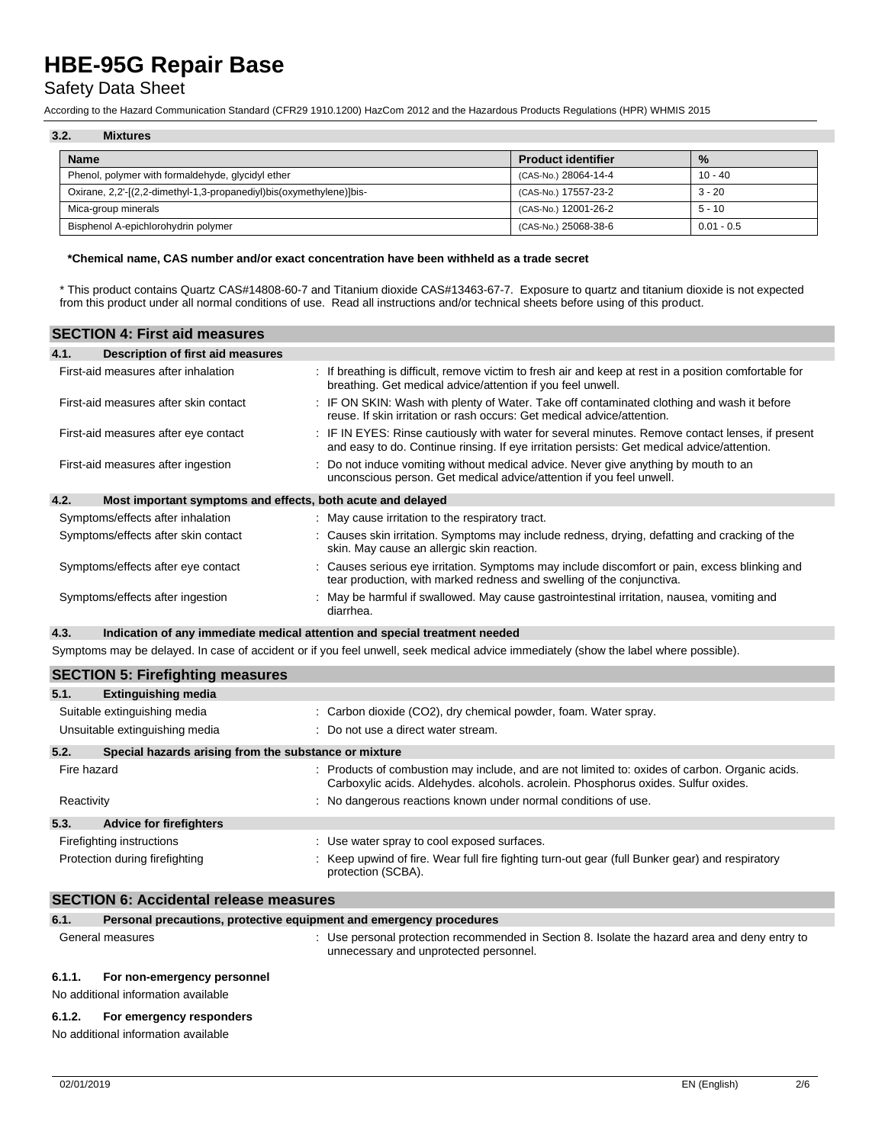## Safety Data Sheet

According to the Hazard Communication Standard (CFR29 1910.1200) HazCom 2012 and the Hazardous Products Regulations (HPR) WHMIS 2015

## **3.2. Mixtures**

| <b>Name</b>                                                         | <b>Product identifier</b> | $\frac{0}{2}$ |
|---------------------------------------------------------------------|---------------------------|---------------|
| Phenol, polymer with formaldehyde, glycidyl ether                   | (CAS-No.) 28064-14-4      | 10 - 40       |
| Oxirane, 2,2'-[(2,2-dimethyl-1,3-propanediyl)bis(oxymethylene)]bis- | (CAS-No.) 17557-23-2      | $3 - 20$      |
| Mica-group minerals                                                 | (CAS-No.) 12001-26-2      | $5 - 10$      |
| Bisphenol A-epichlorohydrin polymer                                 | (CAS-No.) 25068-38-6      | $0.01 - 0.5$  |

#### **\*Chemical name, CAS number and/or exact concentration have been withheld as a trade secret**

\* This product contains Quartz CAS#14808-60-7 and Titanium dioxide CAS#13463-67-7. Exposure to quartz and titanium dioxide is not expected from this product under all normal conditions of use. Read all instructions and/or technical sheets before using of this product.

| <b>SECTION 4: First aid measures</b>                                |                                                                                                                                                                                                 |
|---------------------------------------------------------------------|-------------------------------------------------------------------------------------------------------------------------------------------------------------------------------------------------|
| 4.1.<br>Description of first aid measures                           |                                                                                                                                                                                                 |
| First-aid measures after inhalation                                 | : If breathing is difficult, remove victim to fresh air and keep at rest in a position comfortable for<br>breathing. Get medical advice/attention if you feel unwell.                           |
| First-aid measures after skin contact                               | : IF ON SKIN: Wash with plenty of Water. Take off contaminated clothing and wash it before<br>reuse. If skin irritation or rash occurs: Get medical advice/attention.                           |
| First-aid measures after eye contact                                | : IF IN EYES: Rinse cautiously with water for several minutes. Remove contact lenses, if present<br>and easy to do. Continue rinsing. If eye irritation persists: Get medical advice/attention. |
| First-aid measures after ingestion                                  | Do not induce vomiting without medical advice. Never give anything by mouth to an<br>unconscious person. Get medical advice/attention if you feel unwell.                                       |
| 4.2.<br>Most important symptoms and effects, both acute and delayed |                                                                                                                                                                                                 |
| Symptoms/effects after inhalation                                   | : May cause irritation to the respiratory tract.                                                                                                                                                |
| Symptoms/effects after skin contact                                 | : Causes skin irritation. Symptoms may include redness, drying, defatting and cracking of the<br>skin. May cause an allergic skin reaction.                                                     |
| Symptoms/effects after eye contact                                  | : Causes serious eye irritation. Symptoms may include discomfort or pain, excess blinking and<br>tear production, with marked redness and swelling of the conjunctiva.                          |
| Symptoms/effects after ingestion                                    | May be harmful if swallowed. May cause gastrointestinal irritation, nausea, vomiting and<br>diarrhea.                                                                                           |
| 4.3.                                                                | Indication of any immediate medical attention and special treatment needed                                                                                                                      |
|                                                                     | Symptoms may be delayed. In case of accident or if you feel unwell, seek medical advice immediately (show the label where possible).                                                            |

|                                | <b>SECTION 5: Firefighting measures</b>               |                                                                                                                                                                                      |  |  |
|--------------------------------|-------------------------------------------------------|--------------------------------------------------------------------------------------------------------------------------------------------------------------------------------------|--|--|
| 5.1.                           | <b>Extinguishing media</b>                            |                                                                                                                                                                                      |  |  |
| Suitable extinguishing media   |                                                       | : Carbon dioxide (CO2), dry chemical powder, foam. Water spray.                                                                                                                      |  |  |
| Unsuitable extinguishing media |                                                       | $\therefore$ Do not use a direct water stream.                                                                                                                                       |  |  |
| 5.2.                           | Special hazards arising from the substance or mixture |                                                                                                                                                                                      |  |  |
| Fire hazard                    |                                                       | : Products of combustion may include, and are not limited to: oxides of carbon. Organic acids.<br>Carboxylic acids. Aldehydes. alcohols. acrolein. Phosphorus oxides. Sulfur oxides. |  |  |
| Reactivity                     |                                                       | : No dangerous reactions known under normal conditions of use.                                                                                                                       |  |  |
| 5.3.                           | <b>Advice for firefighters</b>                        |                                                                                                                                                                                      |  |  |
|                                | Firefighting instructions                             | : Use water spray to cool exposed surfaces.                                                                                                                                          |  |  |
| Protection during firefighting |                                                       | Keep upwind of fire. Wear full fire fighting turn-out gear (full Bunker gear) and respiratory<br>protection (SCBA).                                                                  |  |  |

#### **SECTION 6: Accidental release measures**

| 6.1.   | Personal precautions, protective equipment and emergency procedures |                                                                                                                                         |
|--------|---------------------------------------------------------------------|-----------------------------------------------------------------------------------------------------------------------------------------|
|        | General measures                                                    | : Use personal protection recommended in Section 8. Isolate the hazard area and deny entry to<br>unnecessary and unprotected personnel. |
| 6.1.1. | For non-emergency personnel                                         |                                                                                                                                         |

No additional information available

#### **6.1.2. For emergency responders**

No additional information available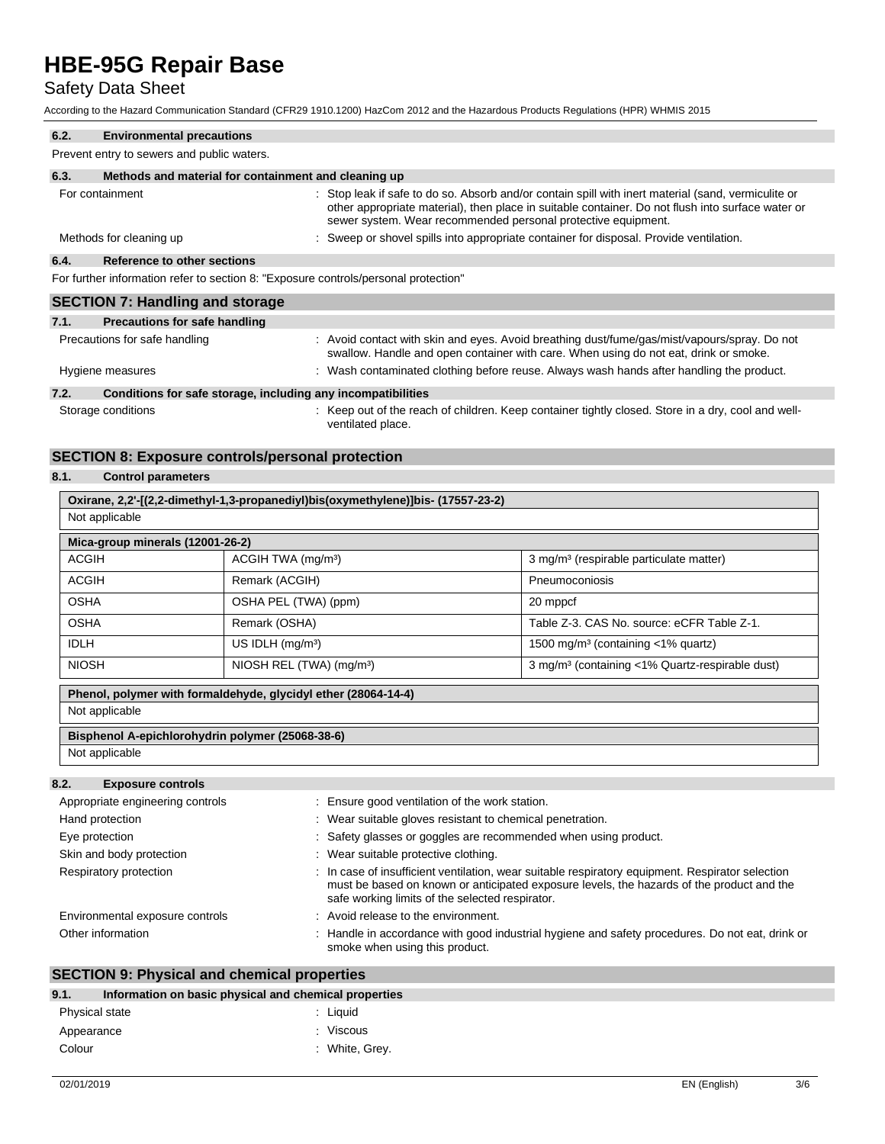## Safety Data Sheet

According to the Hazard Communication Standard (CFR29 1910.1200) HazCom 2012 and the Hazardous Products Regulations (HPR) WHMIS 2015

| 6.2. | <b>Environmental precautions</b>                                                    |                                                                                                                                                                                                                                                                           |
|------|-------------------------------------------------------------------------------------|---------------------------------------------------------------------------------------------------------------------------------------------------------------------------------------------------------------------------------------------------------------------------|
|      | Prevent entry to sewers and public waters.                                          |                                                                                                                                                                                                                                                                           |
| 6.3. | Methods and material for containment and cleaning up                                |                                                                                                                                                                                                                                                                           |
|      | For containment                                                                     | : Stop leak if safe to do so. Absorb and/or contain spill with inert material (sand, vermiculite or<br>other appropriate material), then place in suitable container. Do not flush into surface water or<br>sewer system. Wear recommended personal protective equipment. |
|      | Methods for cleaning up                                                             | Sweep or shovel spills into appropriate container for disposal. Provide ventilation.                                                                                                                                                                                      |
| 6.4. | Reference to other sections                                                         |                                                                                                                                                                                                                                                                           |
|      | For further information refer to section 8: "Exposure controls/personal protection" |                                                                                                                                                                                                                                                                           |
|      | <b>SECTION 7: Handling and storage</b>                                              |                                                                                                                                                                                                                                                                           |
| 7.1. | <b>Precautions for safe handling</b>                                                |                                                                                                                                                                                                                                                                           |
|      | Precautions for safe handling                                                       | : Avoid contact with skin and eyes. Avoid breathing dust/fume/gas/mist/vapours/spray. Do not<br>swallow. Handle and open container with care. When using do not eat, drink or smoke.                                                                                      |
|      | Hygiene measures                                                                    | Wash contaminated clothing before reuse. Always wash hands after handling the product.                                                                                                                                                                                    |
| 7.2. | Conditions for safe storage, including any incompatibilities                        |                                                                                                                                                                                                                                                                           |

Storage conditions **Storage conditions** : Keep out of the reach of children. Keep container tightly closed. Store in a dry, cool and well-

## ventilated place.

### **SECTION 8: Exposure controls/personal protection**

### **8.1. Control parameters**

| Oxirane, 2,2'-[(2,2-dimethyl-1,3-propanediyl)bis(oxymethylene)]bis- (17557-23-2) |                                      |                                                             |  |  |  |
|----------------------------------------------------------------------------------|--------------------------------------|-------------------------------------------------------------|--|--|--|
| Not applicable                                                                   |                                      |                                                             |  |  |  |
| Mica-group minerals (12001-26-2)                                                 |                                      |                                                             |  |  |  |
| <b>ACGIH</b>                                                                     | ACGIH TWA (mg/m <sup>3</sup> )       | 3 mg/m <sup>3</sup> (respirable particulate matter)         |  |  |  |
| <b>ACGIH</b>                                                                     | Remark (ACGIH)                       | Pneumoconiosis                                              |  |  |  |
| <b>OSHA</b>                                                                      | OSHA PEL (TWA) (ppm)                 | 20 mppcf                                                    |  |  |  |
| <b>OSHA</b>                                                                      | Remark (OSHA)                        | Table Z-3, CAS No. source: eCFR Table Z-1.                  |  |  |  |
| <b>IDLH</b>                                                                      | US IDLH $(mg/m3)$                    | 1500 mg/m <sup>3</sup> (containing $\langle$ 1% quartz)     |  |  |  |
| <b>NIOSH</b>                                                                     | NIOSH REL (TWA) (mg/m <sup>3</sup> ) | 3 mg/m <sup>3</sup> (containing <1% Quartz-respirable dust) |  |  |  |
| Phenol, polymer with formaldehyde, glycidyl ether (28064-14-4)                   |                                      |                                                             |  |  |  |
| Not applicable                                                                   |                                      |                                                             |  |  |  |
| Bisphenol A-epichlorohydrin polymer (25068-38-6)                                 |                                      |                                                             |  |  |  |
| Not applicable                                                                   |                                      |                                                             |  |  |  |

### **8.2. Exposure controls**

| Appropriate engineering controls | Ensure good ventilation of the work station.                                                                                                                                                                                                     |
|----------------------------------|--------------------------------------------------------------------------------------------------------------------------------------------------------------------------------------------------------------------------------------------------|
| Hand protection                  | : Wear suitable gloves resistant to chemical penetration.                                                                                                                                                                                        |
| Eye protection                   | : Safety glasses or goggles are recommended when using product.                                                                                                                                                                                  |
| Skin and body protection         | : Wear suitable protective clothing.                                                                                                                                                                                                             |
| Respiratory protection           | : In case of insufficient ventilation, wear suitable respiratory equipment. Respirator selection<br>must be based on known or anticipated exposure levels, the hazards of the product and the<br>safe working limits of the selected respirator. |
| Environmental exposure controls  | : Avoid release to the environment.                                                                                                                                                                                                              |
| Other information                | : Handle in accordance with good industrial hygiene and safety procedures. Do not eat, drink or<br>smoke when using this product.                                                                                                                |

## **SECTION 9: Physical and chemical properties**

| Physical state           | 9.1. | Information on basic physical and chemical properties |          |
|--------------------------|------|-------------------------------------------------------|----------|
|                          |      |                                                       | : Liauid |
| : Viscous<br>Appearance  |      |                                                       |          |
| : White, Grey.<br>Colour |      |                                                       |          |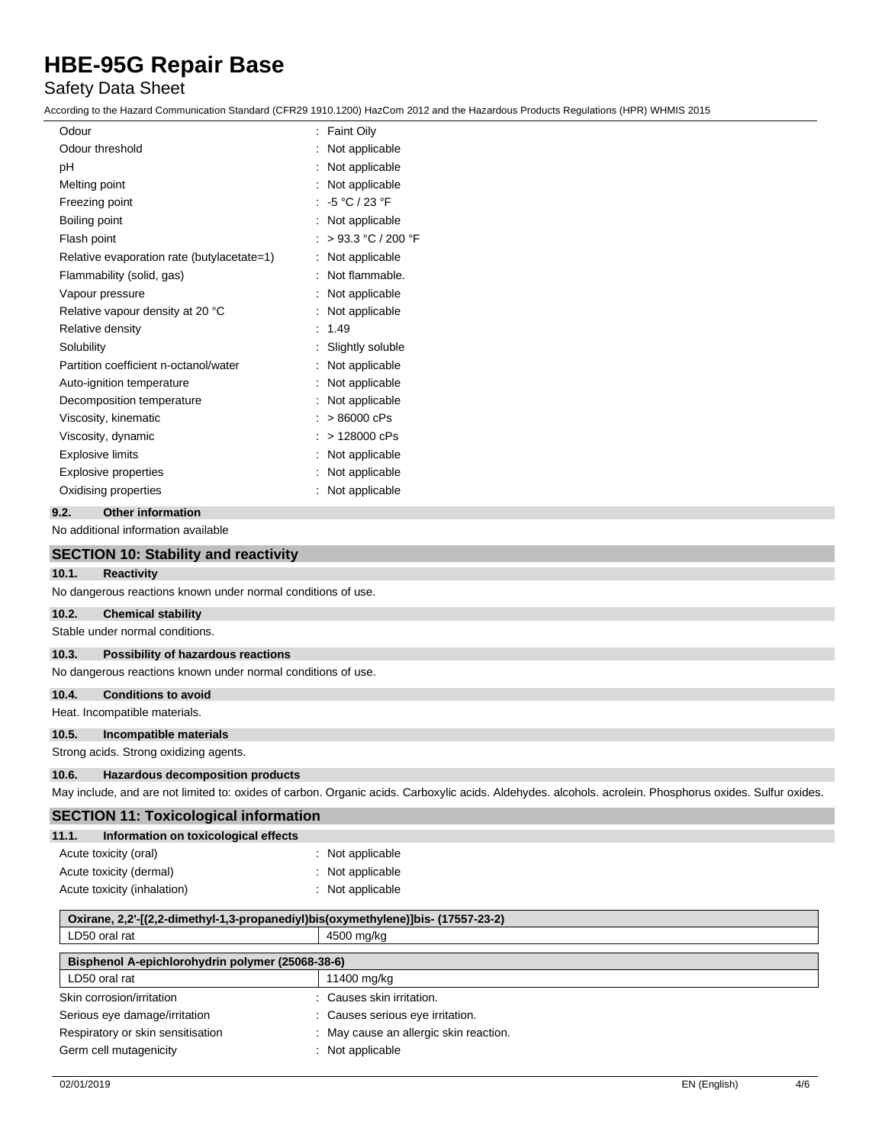## Safety Data Sheet

According to the Hazard Communication Standard (CFR29 1910.1200) HazCom 2012 and the Hazardous Products Regulations (HPR) WHMIS 2015

| Odour                                      | : Faint Oily       |
|--------------------------------------------|--------------------|
| Odour threshold                            | Not applicable     |
| рH                                         | Not applicable     |
| Melting point                              | Not applicable     |
| Freezing point                             | $-5 °C / 23 °F$    |
| Boiling point                              | Not applicable     |
| Flash point                                | > 93.3 °C / 200 °F |
| Relative evaporation rate (butylacetate=1) | Not applicable     |
| Flammability (solid, gas)                  | Not flammable.     |
| Vapour pressure                            | Not applicable     |
| Relative vapour density at 20 °C           | Not applicable     |
| Relative density                           | 1.49               |
| Solubility                                 | Slightly soluble   |
| Partition coefficient n-octanol/water      | Not applicable     |
| Auto-ignition temperature                  | Not applicable     |
| Decomposition temperature                  | Not applicable     |
| Viscosity, kinematic                       | > 86000 cPs        |
| Viscosity, dynamic                         | > 128000 cPs       |
| <b>Explosive limits</b>                    | Not applicable     |
| <b>Explosive properties</b>                | Not applicable     |
| Oxidising properties                       | Not applicable     |
|                                            |                    |

#### **9.2. Other information**

No additional information available

|       | <b>SECTION 10: Stability and reactivity</b>                  |                                                                                                                                                          |
|-------|--------------------------------------------------------------|----------------------------------------------------------------------------------------------------------------------------------------------------------|
| 10.1. | <b>Reactivity</b>                                            |                                                                                                                                                          |
|       | No dangerous reactions known under normal conditions of use. |                                                                                                                                                          |
| 10.2. | <b>Chemical stability</b>                                    |                                                                                                                                                          |
|       | Stable under normal conditions.                              |                                                                                                                                                          |
| 10.3. | Possibility of hazardous reactions                           |                                                                                                                                                          |
|       | No dangerous reactions known under normal conditions of use. |                                                                                                                                                          |
| 10.4. | <b>Conditions to avoid</b>                                   |                                                                                                                                                          |
|       | Heat. Incompatible materials.                                |                                                                                                                                                          |
| 10.5. | Incompatible materials                                       |                                                                                                                                                          |
|       | Strong acids. Strong oxidizing agents.                       |                                                                                                                                                          |
| 10.6. | <b>Hazardous decomposition products</b>                      |                                                                                                                                                          |
|       |                                                              | May include, and are not limited to: oxides of carbon. Organic acids. Carboxylic acids. Aldehydes. alcohols. acrolein. Phosphorus oxides. Sulfur oxides. |
|       | <b>SECTION 11: Toxicological information</b>                 |                                                                                                                                                          |
| 11.1. | Information on toxicological effects                         |                                                                                                                                                          |
|       | Acute toxicity (oral)                                        | : Not applicable                                                                                                                                         |
|       | Acute toxicity (dermal)                                      | : Not applicable                                                                                                                                         |
|       | Acute toxicity (inhalation)                                  | : Not applicable                                                                                                                                         |

| Oxirane, 2,2'-[(2,2-dimethyl-1,3-propanediyl)bis(oxymethylene)]bis- (17557-23-2) |                                        |  |  |  |
|----------------------------------------------------------------------------------|----------------------------------------|--|--|--|
| LD50 oral rat                                                                    | 4500 mg/kg                             |  |  |  |
| Bisphenol A-epichlorohydrin polymer (25068-38-6)                                 |                                        |  |  |  |
| LD50 oral rat                                                                    | 11400 mg/kg                            |  |  |  |
| Skin corrosion/irritation                                                        | : Causes skin irritation.              |  |  |  |
| Serious eye damage/irritation                                                    | : Causes serious eye irritation.       |  |  |  |
| Respiratory or skin sensitisation                                                | : May cause an allergic skin reaction. |  |  |  |
| Germ cell mutagenicity                                                           | $\therefore$ Not applicable            |  |  |  |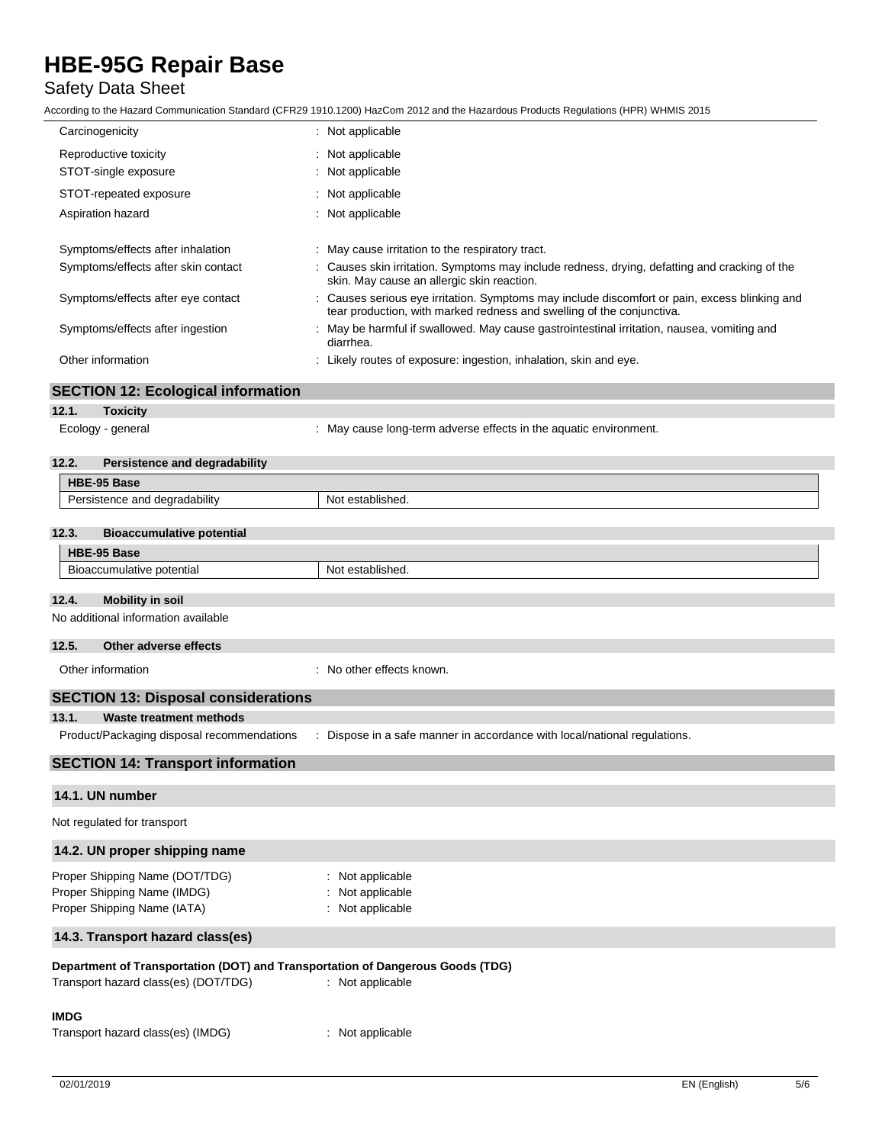## Safety Data Sheet

|                                                                                              | ccording to the Hazard Communication Standard (CFR29 1910.1200) HazCom 2012 and the Hazardous Products Regulations (HPR) WHMIS 2015                                  |
|----------------------------------------------------------------------------------------------|----------------------------------------------------------------------------------------------------------------------------------------------------------------------|
| Carcinogenicity                                                                              | : Not applicable                                                                                                                                                     |
| Reproductive toxicity                                                                        | Not applicable                                                                                                                                                       |
| STOT-single exposure                                                                         | Not applicable                                                                                                                                                       |
| STOT-repeated exposure                                                                       | Not applicable<br>÷.                                                                                                                                                 |
| Aspiration hazard                                                                            | : Not applicable                                                                                                                                                     |
| Symptoms/effects after inhalation                                                            | May cause irritation to the respiratory tract.                                                                                                                       |
| Symptoms/effects after skin contact                                                          | Causes skin irritation. Symptoms may include redness, drying, defatting and cracking of the<br>skin. May cause an allergic skin reaction.                            |
| Symptoms/effects after eye contact                                                           | Causes serious eye irritation. Symptoms may include discomfort or pain, excess blinking and<br>tear production, with marked redness and swelling of the conjunctiva. |
| Symptoms/effects after ingestion                                                             | : May be harmful if swallowed. May cause gastrointestinal irritation, nausea, vomiting and<br>diarrhea.                                                              |
| Other information                                                                            | : Likely routes of exposure: ingestion, inhalation, skin and eye.                                                                                                    |
| <b>SECTION 12: Ecological information</b>                                                    |                                                                                                                                                                      |
| 12.1.<br><b>Toxicity</b>                                                                     |                                                                                                                                                                      |
| Ecology - general                                                                            | : May cause long-term adverse effects in the aquatic environment.                                                                                                    |
| 12.2.<br>Persistence and degradability                                                       |                                                                                                                                                                      |
| HBE-95 Base                                                                                  |                                                                                                                                                                      |
| Persistence and degradability                                                                | Not established.                                                                                                                                                     |
| 12.3.<br><b>Bioaccumulative potential</b>                                                    |                                                                                                                                                                      |
| HBE-95 Base                                                                                  |                                                                                                                                                                      |
| Bioaccumulative potential                                                                    | Not established.                                                                                                                                                     |
| 12.4.<br><b>Mobility in soil</b>                                                             |                                                                                                                                                                      |
| No additional information available                                                          |                                                                                                                                                                      |
| Other adverse effects<br>12.5.                                                               |                                                                                                                                                                      |
| Other information                                                                            | : No other effects known.                                                                                                                                            |
| <b>SECTION 13: Disposal considerations</b>                                                   |                                                                                                                                                                      |
| 13.1.<br>Waste treatment methods                                                             |                                                                                                                                                                      |
| Product/Packaging disposal recommendations                                                   | Dispose in a safe manner in accordance with local/national regulations.                                                                                              |
| <b>SECTION 14: Transport information</b>                                                     |                                                                                                                                                                      |
| 14.1. UN number                                                                              |                                                                                                                                                                      |
| Not regulated for transport                                                                  |                                                                                                                                                                      |
| 14.2. UN proper shipping name                                                                |                                                                                                                                                                      |
| Proper Shipping Name (DOT/TDG)<br>Proper Shipping Name (IMDG)<br>Proper Shipping Name (IATA) | Not applicable<br>Not applicable<br>Not applicable                                                                                                                   |

## **14.3. Transport hazard class(es)**

### **Department of Transportation (DOT) and Transportation of Dangerous Goods (TDG)**

| Transport hazard class(es) (DOT/TDG) | : Not applicable |
|--------------------------------------|------------------|
| <b>IMDG</b>                          |                  |